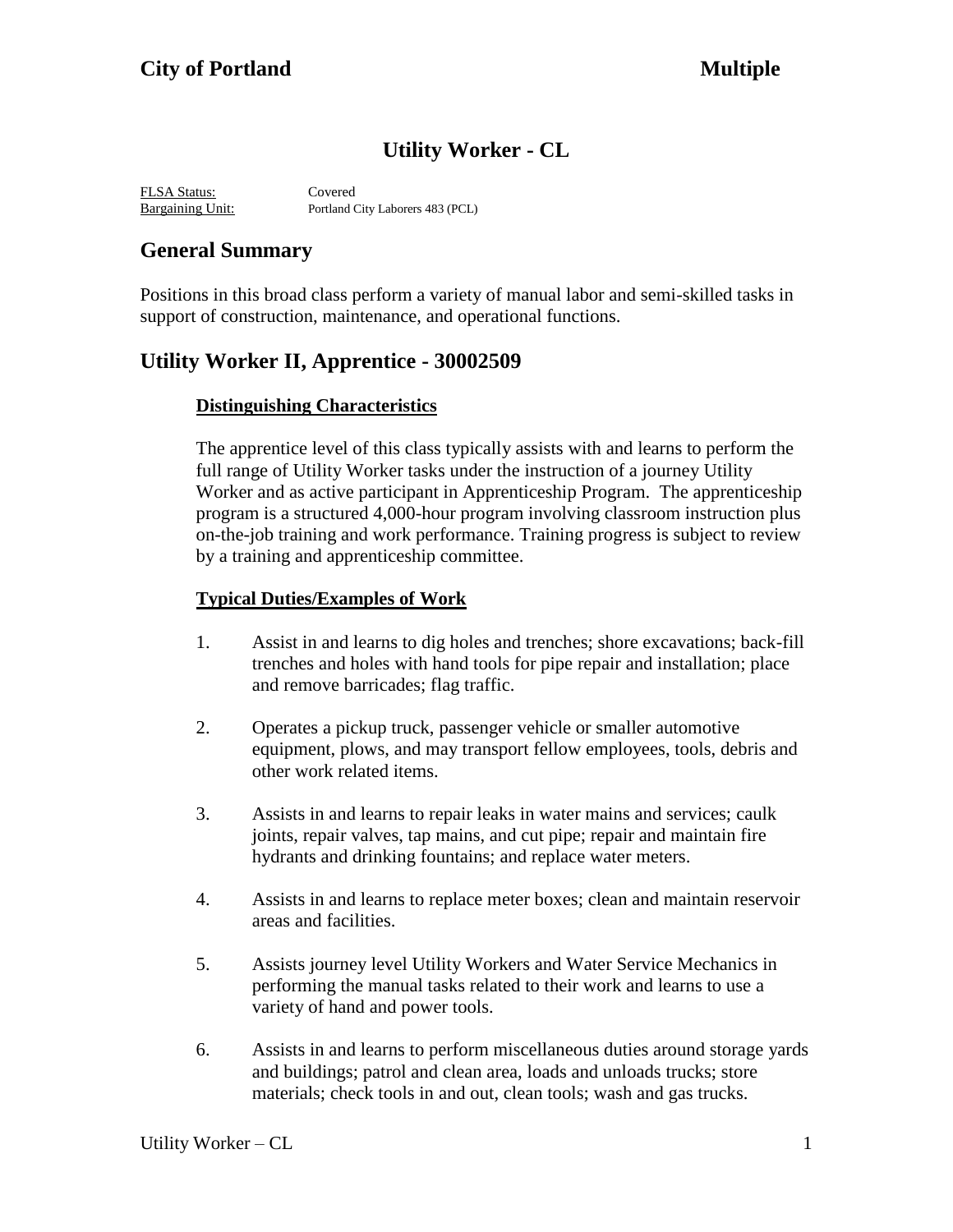# **Utility Worker - CL**

FLSA Status: Covered Bargaining Unit: Portland City Laborers 483 (PCL)

## **General Summary**

Positions in this broad class perform a variety of manual labor and semi-skilled tasks in support of construction, maintenance, and operational functions.

## **Utility Worker II, Apprentice - 30002509**

### **Distinguishing Characteristics**

The apprentice level of this class typically assists with and learns to perform the full range of Utility Worker tasks under the instruction of a journey Utility Worker and as active participant in Apprenticeship Program. The apprenticeship program is a structured 4,000-hour program involving classroom instruction plus on-the-job training and work performance. Training progress is subject to review by a training and apprenticeship committee.

### **Typical Duties/Examples of Work**

- 1. Assist in and learns to dig holes and trenches; shore excavations; back-fill trenches and holes with hand tools for pipe repair and installation; place and remove barricades; flag traffic.
- 2. Operates a pickup truck, passenger vehicle or smaller automotive equipment, plows, and may transport fellow employees, tools, debris and other work related items.
- 3. Assists in and learns to repair leaks in water mains and services; caulk joints, repair valves, tap mains, and cut pipe; repair and maintain fire hydrants and drinking fountains; and replace water meters.
- 4. Assists in and learns to replace meter boxes; clean and maintain reservoir areas and facilities.
- 5. Assists journey level Utility Workers and Water Service Mechanics in performing the manual tasks related to their work and learns to use a variety of hand and power tools.
- 6. Assists in and learns to perform miscellaneous duties around storage yards and buildings; patrol and clean area, loads and unloads trucks; store materials; check tools in and out, clean tools; wash and gas trucks.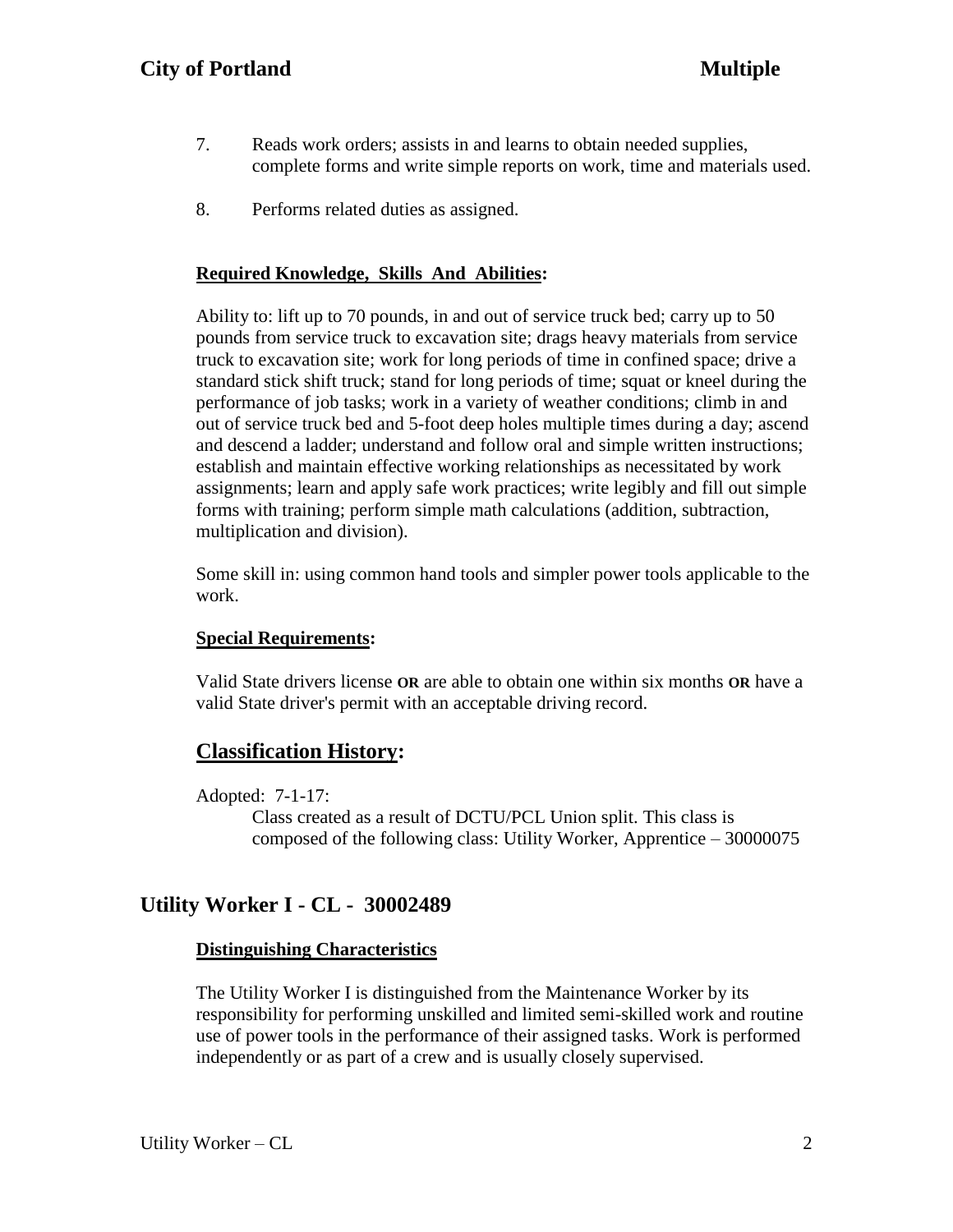- 7. Reads work orders; assists in and learns to obtain needed supplies, complete forms and write simple reports on work, time and materials used.
- 8. Performs related duties as assigned.

### **Required Knowledge, Skills And Abilities:**

Ability to: lift up to 70 pounds, in and out of service truck bed; carry up to 50 pounds from service truck to excavation site; drags heavy materials from service truck to excavation site; work for long periods of time in confined space; drive a standard stick shift truck; stand for long periods of time; squat or kneel during the performance of job tasks; work in a variety of weather conditions; climb in and out of service truck bed and 5-foot deep holes multiple times during a day; ascend and descend a ladder; understand and follow oral and simple written instructions; establish and maintain effective working relationships as necessitated by work assignments; learn and apply safe work practices; write legibly and fill out simple forms with training; perform simple math calculations (addition, subtraction, multiplication and division).

Some skill in: using common hand tools and simpler power tools applicable to the work.

### **Special Requirements:**

Valid State drivers license **OR** are able to obtain one within six months **OR** have a valid State driver's permit with an acceptable driving record.

## **Classification History:**

Adopted: 7-1-17:

Class created as a result of DCTU/PCL Union split. This class is composed of the following class: Utility Worker, Apprentice – 30000075

## **Utility Worker I - CL - 30002489**

### **Distinguishing Characteristics**

The Utility Worker I is distinguished from the Maintenance Worker by its responsibility for performing unskilled and limited semi-skilled work and routine use of power tools in the performance of their assigned tasks. Work is performed independently or as part of a crew and is usually closely supervised.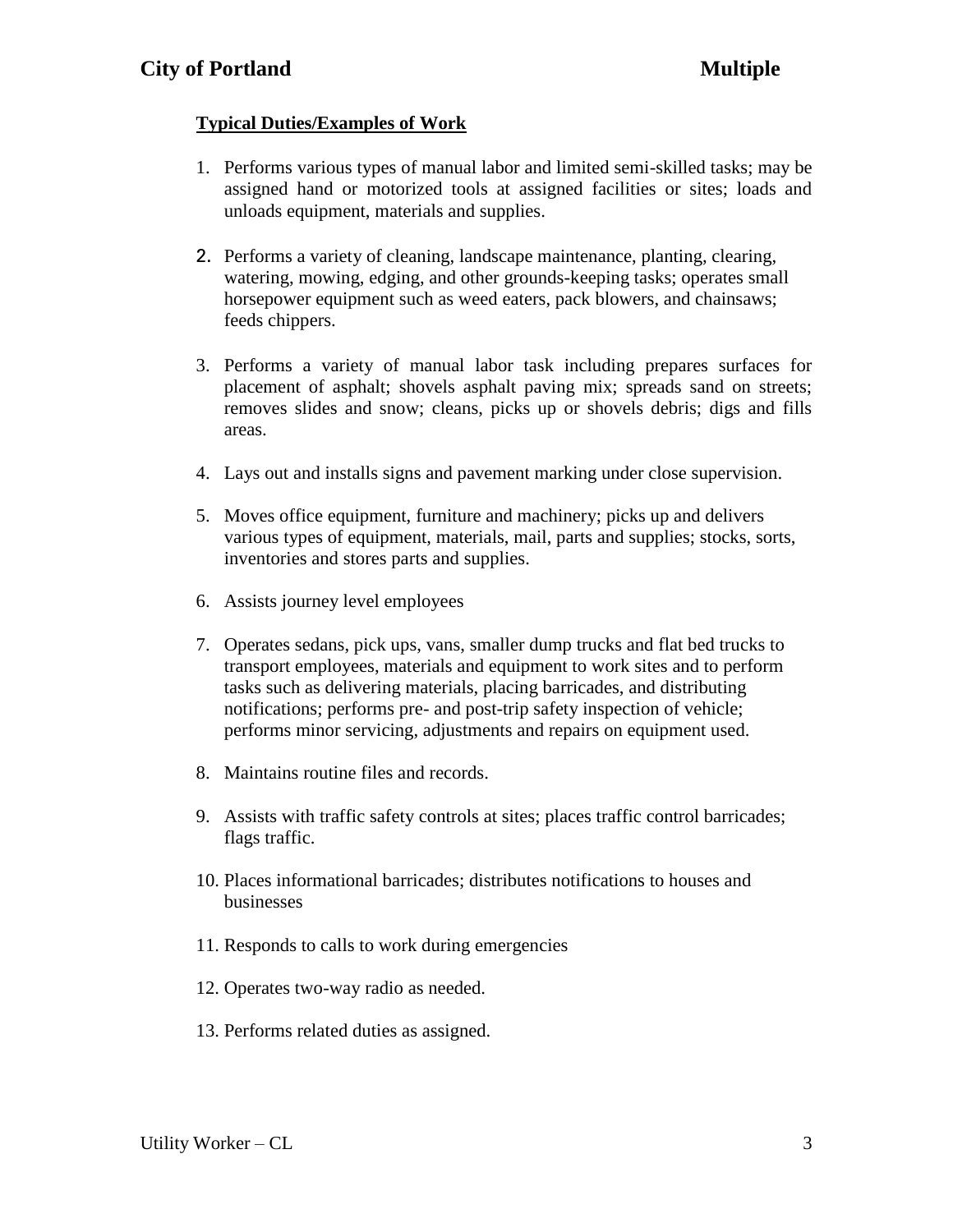## **Typical Duties/Examples of Work**

- 1. Performs various types of manual labor and limited semi-skilled tasks; may be assigned hand or motorized tools at assigned facilities or sites; loads and unloads equipment, materials and supplies.
- 2. Performs a variety of cleaning, landscape maintenance, planting, clearing, watering, mowing, edging, and other grounds-keeping tasks; operates small horsepower equipment such as weed eaters, pack blowers, and chainsaws; feeds chippers.
- 3. Performs a variety of manual labor task including prepares surfaces for placement of asphalt; shovels asphalt paving mix; spreads sand on streets; removes slides and snow; cleans, picks up or shovels debris; digs and fills areas.
- 4. Lays out and installs signs and pavement marking under close supervision.
- 5. Moves office equipment, furniture and machinery; picks up and delivers various types of equipment, materials, mail, parts and supplies; stocks, sorts, inventories and stores parts and supplies.
- 6. Assists journey level employees
- 7. Operates sedans, pick ups, vans, smaller dump trucks and flat bed trucks to transport employees, materials and equipment to work sites and to perform tasks such as delivering materials, placing barricades, and distributing notifications; performs pre- and post-trip safety inspection of vehicle; performs minor servicing, adjustments and repairs on equipment used.
- 8. Maintains routine files and records.
- 9. Assists with traffic safety controls at sites; places traffic control barricades; flags traffic.
- 10. Places informational barricades; distributes notifications to houses and businesses
- 11. Responds to calls to work during emergencies
- 12. Operates two-way radio as needed.
- 13. Performs related duties as assigned.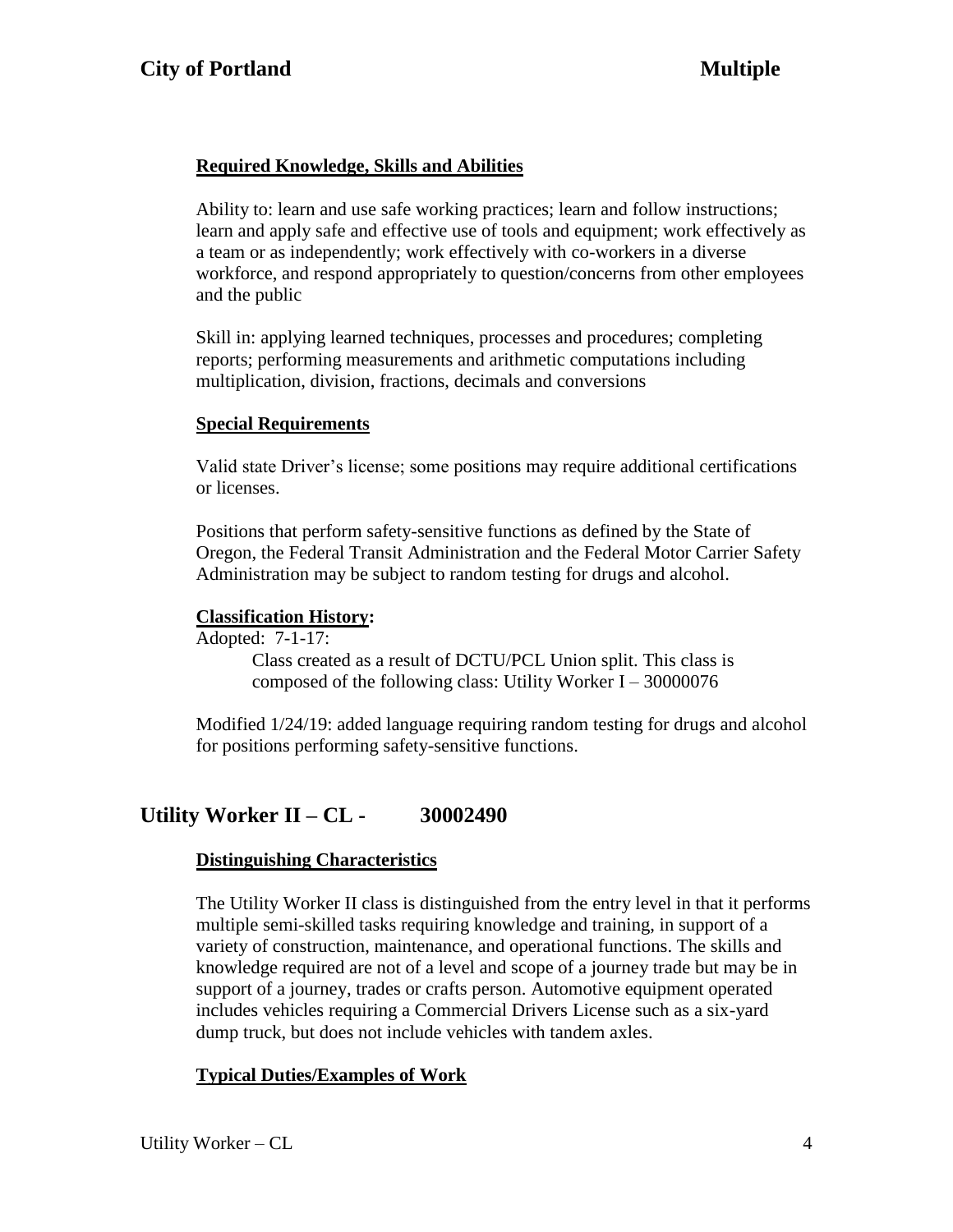### **Required Knowledge, Skills and Abilities**

Ability to: learn and use safe working practices; learn and follow instructions; learn and apply safe and effective use of tools and equipment; work effectively as a team or as independently; work effectively with co-workers in a diverse workforce, and respond appropriately to question/concerns from other employees and the public

Skill in: applying learned techniques, processes and procedures; completing reports; performing measurements and arithmetic computations including multiplication, division, fractions, decimals and conversions

#### **Special Requirements**

Valid state Driver's license; some positions may require additional certifications or licenses.

Positions that perform safety-sensitive functions as defined by the State of Oregon, the Federal Transit Administration and the Federal Motor Carrier Safety Administration may be subject to random testing for drugs and alcohol.

#### **Classification History:**

Adopted: 7-1-17:

Class created as a result of DCTU/PCL Union split. This class is composed of the following class: Utility Worker I – 30000076

Modified 1/24/19: added language requiring random testing for drugs and alcohol for positions performing safety-sensitive functions.

## **Utility Worker II – CL - 30002490**

#### **Distinguishing Characteristics**

The Utility Worker II class is distinguished from the entry level in that it performs multiple semi-skilled tasks requiring knowledge and training, in support of a variety of construction, maintenance, and operational functions. The skills and knowledge required are not of a level and scope of a journey trade but may be in support of a journey, trades or crafts person. Automotive equipment operated includes vehicles requiring a Commercial Drivers License such as a six-yard dump truck, but does not include vehicles with tandem axles.

### **Typical Duties/Examples of Work**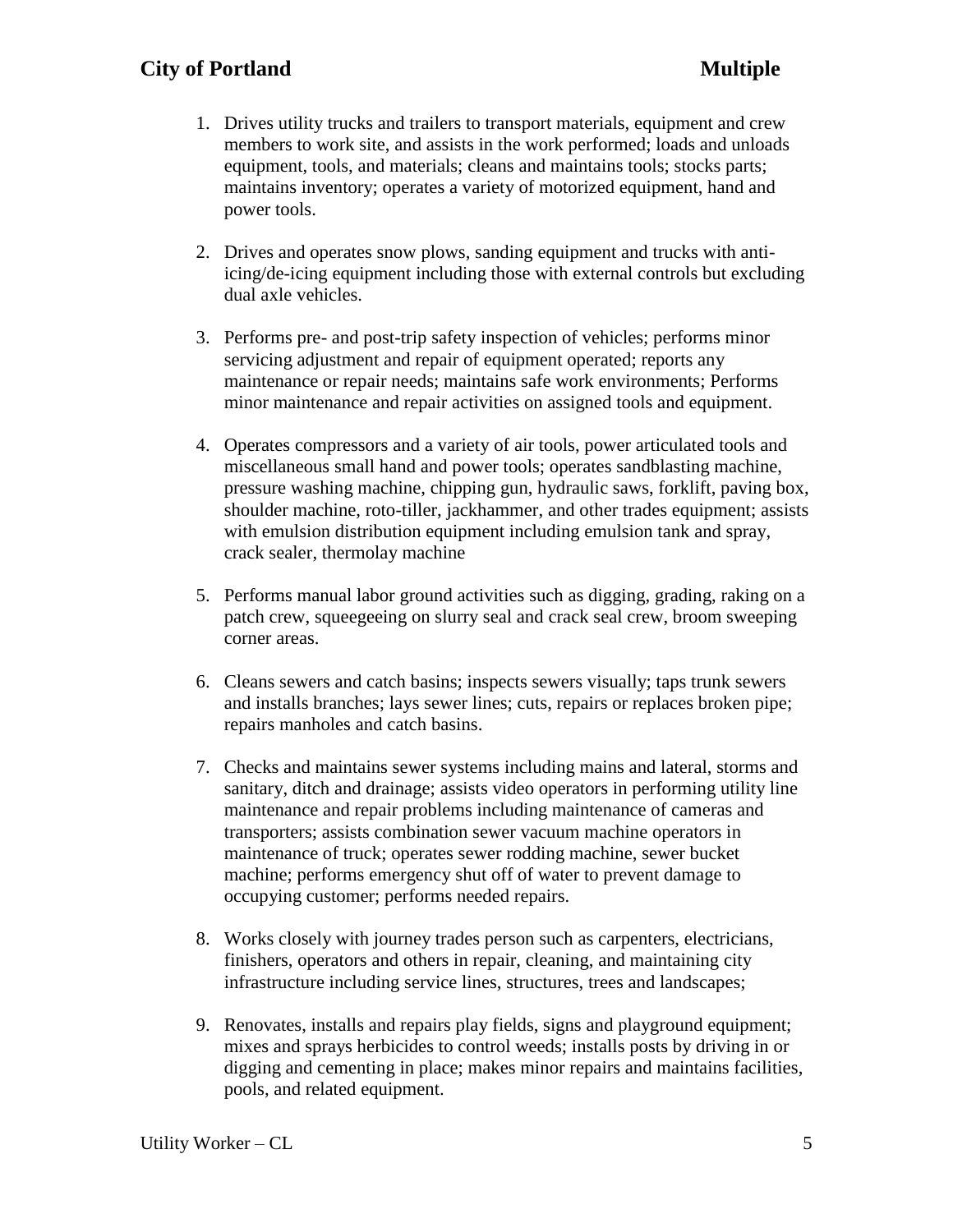## **City of Portland Multiple**

- 1. Drives utility trucks and trailers to transport materials, equipment and crew members to work site, and assists in the work performed; loads and unloads equipment, tools, and materials; cleans and maintains tools; stocks parts; maintains inventory; operates a variety of motorized equipment, hand and power tools.
- 2. Drives and operates snow plows, sanding equipment and trucks with antiicing/de-icing equipment including those with external controls but excluding dual axle vehicles.
- 3. Performs pre- and post-trip safety inspection of vehicles; performs minor servicing adjustment and repair of equipment operated; reports any maintenance or repair needs; maintains safe work environments; Performs minor maintenance and repair activities on assigned tools and equipment.
- 4. Operates compressors and a variety of air tools, power articulated tools and miscellaneous small hand and power tools; operates sandblasting machine, pressure washing machine, chipping gun, hydraulic saws, forklift, paving box, shoulder machine, roto-tiller, jackhammer, and other trades equipment; assists with emulsion distribution equipment including emulsion tank and spray, crack sealer, thermolay machine
- 5. Performs manual labor ground activities such as digging, grading, raking on a patch crew, squeegeeing on slurry seal and crack seal crew, broom sweeping corner areas.
- 6. Cleans sewers and catch basins; inspects sewers visually; taps trunk sewers and installs branches; lays sewer lines; cuts, repairs or replaces broken pipe; repairs manholes and catch basins.
- 7. Checks and maintains sewer systems including mains and lateral, storms and sanitary, ditch and drainage; assists video operators in performing utility line maintenance and repair problems including maintenance of cameras and transporters; assists combination sewer vacuum machine operators in maintenance of truck; operates sewer rodding machine, sewer bucket machine; performs emergency shut off of water to prevent damage to occupying customer; performs needed repairs.
- 8. Works closely with journey trades person such as carpenters, electricians, finishers, operators and others in repair, cleaning, and maintaining city infrastructure including service lines, structures, trees and landscapes;
- 9. Renovates, installs and repairs play fields, signs and playground equipment; mixes and sprays herbicides to control weeds; installs posts by driving in or digging and cementing in place; makes minor repairs and maintains facilities, pools, and related equipment.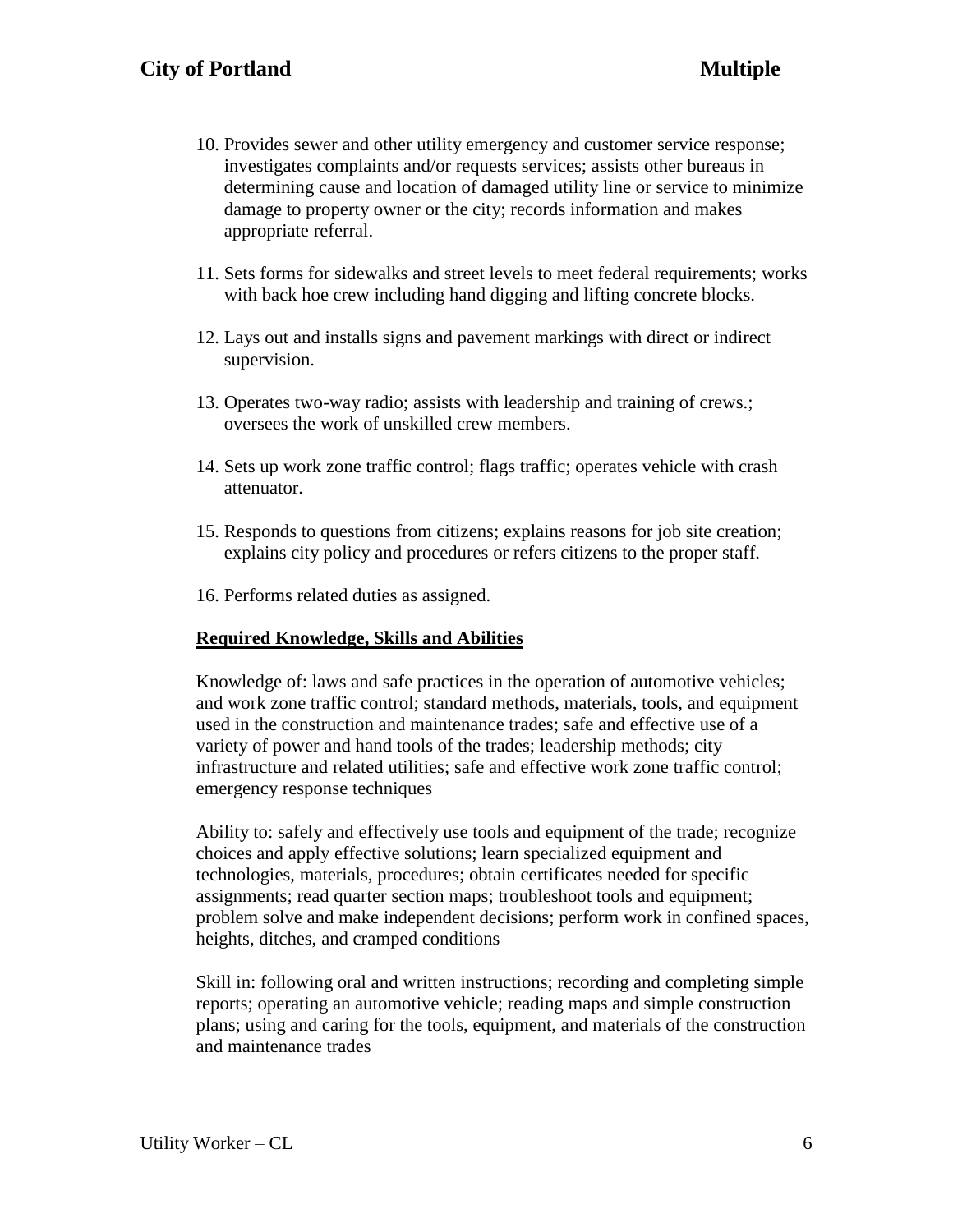- 10. Provides sewer and other utility emergency and customer service response; investigates complaints and/or requests services; assists other bureaus in determining cause and location of damaged utility line or service to minimize damage to property owner or the city; records information and makes appropriate referral.
- 11. Sets forms for sidewalks and street levels to meet federal requirements; works with back hoe crew including hand digging and lifting concrete blocks.
- 12. Lays out and installs signs and pavement markings with direct or indirect supervision.
- 13. Operates two-way radio; assists with leadership and training of crews.; oversees the work of unskilled crew members.
- 14. Sets up work zone traffic control; flags traffic; operates vehicle with crash attenuator.
- 15. Responds to questions from citizens; explains reasons for job site creation; explains city policy and procedures or refers citizens to the proper staff.
- 16. Performs related duties as assigned.

### **Required Knowledge, Skills and Abilities**

Knowledge of: laws and safe practices in the operation of automotive vehicles; and work zone traffic control; standard methods, materials, tools, and equipment used in the construction and maintenance trades; safe and effective use of a variety of power and hand tools of the trades; leadership methods; city infrastructure and related utilities; safe and effective work zone traffic control; emergency response techniques

Ability to: safely and effectively use tools and equipment of the trade; recognize choices and apply effective solutions; learn specialized equipment and technologies, materials, procedures; obtain certificates needed for specific assignments; read quarter section maps; troubleshoot tools and equipment; problem solve and make independent decisions; perform work in confined spaces, heights, ditches, and cramped conditions

Skill in: following oral and written instructions; recording and completing simple reports; operating an automotive vehicle; reading maps and simple construction plans; using and caring for the tools, equipment, and materials of the construction and maintenance trades